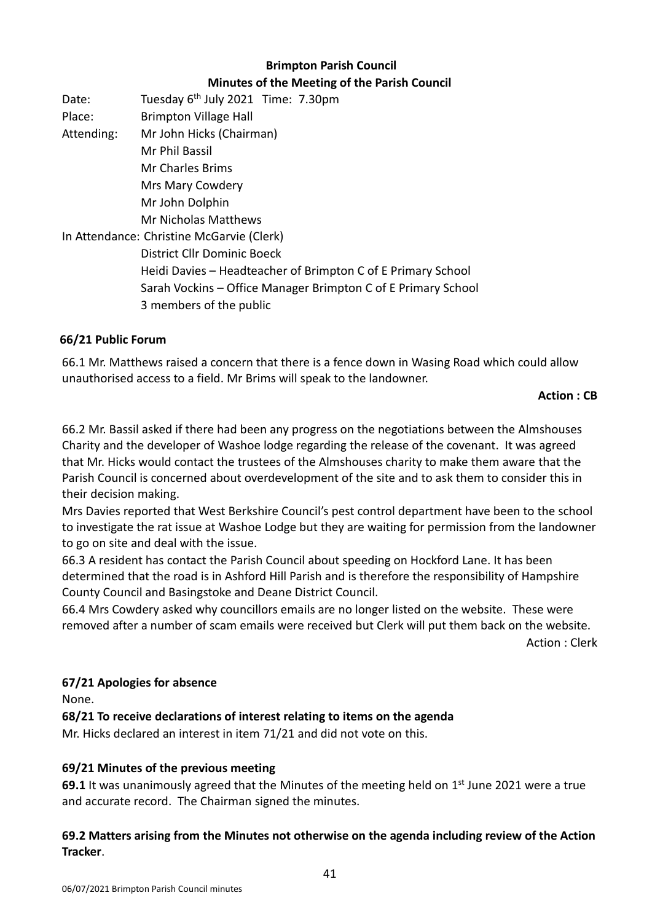# **Brimpton Parish Council Minutes of the Meeting of the Parish Council**

Date: Tuesday 6<sup>th</sup> July 2021 Time: 7.30pm Place: Brimpton Village Hall Attending: Mr John Hicks (Chairman) Mr Phil Bassil Mr Charles Brims Mrs Mary Cowdery Mr John Dolphin Mr Nicholas Matthews In Attendance: Christine McGarvie (Clerk) District Cllr Dominic Boeck Heidi Davies – Headteacher of Brimpton C of E Primary School Sarah Vockins – Office Manager Brimpton C of E Primary School 3 members of the public

#### **66/21 Public Forum**

66.1 Mr. Matthews raised a concern that there is a fence down in Wasing Road which could allow unauthorised access to a field. Mr Brims will speak to the landowner.

#### **Action : CB**

66.2 Mr. Bassil asked if there had been any progress on the negotiations between the Almshouses Charity and the developer of Washoe lodge regarding the release of the covenant. It was agreed that Mr. Hicks would contact the trustees of the Almshouses charity to make them aware that the Parish Council is concerned about overdevelopment of the site and to ask them to consider this in their decision making.

Mrs Davies reported that West Berkshire Council's pest control department have been to the school to investigate the rat issue at Washoe Lodge but they are waiting for permission from the landowner to go on site and deal with the issue.

66.3 A resident has contact the Parish Council about speeding on Hockford Lane. It has been determined that the road is in Ashford Hill Parish and is therefore the responsibility of Hampshire County Council and Basingstoke and Deane District Council.

66.4 Mrs Cowdery asked why councillors emails are no longer listed on the website. These were removed after a number of scam emails were received but Clerk will put them back on the website.

Action : Clerk

#### **67/21 Apologies for absence**

None.

**68/21 To receive declarations of interest relating to items on the agenda**

Mr. Hicks declared an interest in item 71/21 and did not vote on this.

#### **69/21 Minutes of the previous meeting**

**69.1** It was unanimously agreed that the Minutes of the meeting held on 1<sup>st</sup> June 2021 were a true and accurate record. The Chairman signed the minutes.

#### **69.2 Matters arising from the Minutes not otherwise on the agenda including review of the Action Tracker**.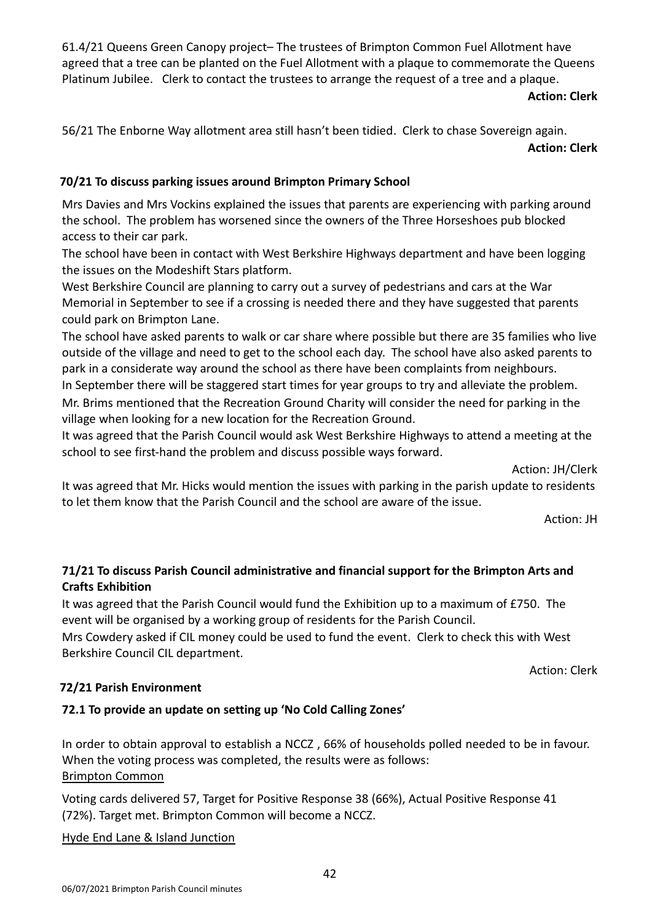61.4/21 Queens Green Canopy project– The trustees of Brimpton Common Fuel Allotment have agreed that a tree can be planted on the Fuel Allotment with a plaque to commemorate the Queens Platinum Jubilee. Clerk to contact the trustees to arrange the request of a tree and a plaque.

#### **Action: Clerk**

56/21 The Enborne Way allotment area still hasn't been tidied. Clerk to chase Sovereign again. **Action: Clerk** 

## **70/21 To discuss parking issues around Brimpton Primary School**

Mrs Davies and Mrs Vockins explained the issues that parents are experiencing with parking around the school. The problem has worsened since the owners of the Three Horseshoes pub blocked access to their car park.

The school have been in contact with West Berkshire Highways department and have been logging the issues on the Modeshift Stars platform.

West Berkshire Council are planning to carry out a survey of pedestrians and cars at the War Memorial in September to see if a crossing is needed there and they have suggested that parents could park on Brimpton Lane.

The school have asked parents to walk or car share where possible but there are 35 families who live outside of the village and need to get to the school each day. The school have also asked parents to park in a considerate way around the school as there have been complaints from neighbours.

In September there will be staggered start times for year groups to try and alleviate the problem. Mr. Brims mentioned that the Recreation Ground Charity will consider the need for parking in the village when looking for a new location for the Recreation Ground.

It was agreed that the Parish Council would ask West Berkshire Highways to attend a meeting at the school to see first-hand the problem and discuss possible ways forward.

Action: JH/Clerk

It was agreed that Mr. Hicks would mention the issues with parking in the parish update to residents to let them know that the Parish Council and the school are aware of the issue.

Action: JH

## **71/21 To discuss Parish Council administrative and financial support for the Brimpton Arts and Crafts Exhibition**

It was agreed that the Parish Council would fund the Exhibition up to a maximum of £750. The event will be organised by a working group of residents for the Parish Council.

Mrs Cowdery asked if CIL money could be used to fund the event. Clerk to check this with West Berkshire Council CIL department.

Action: Clerk

#### **72/21 Parish Environment**

## **72.1 To provide an update on setting up 'No Cold Calling Zones'**

In order to obtain approval to establish a NCCZ , 66% of households polled needed to be in favour. When the voting process was completed, the results were as follows: Brimpton Common

Voting cards delivered 57, Target for Positive Response 38 (66%), Actual Positive Response 41 (72%). Target met. Brimpton Common will become a NCCZ.

Hyde End Lane & Island Junction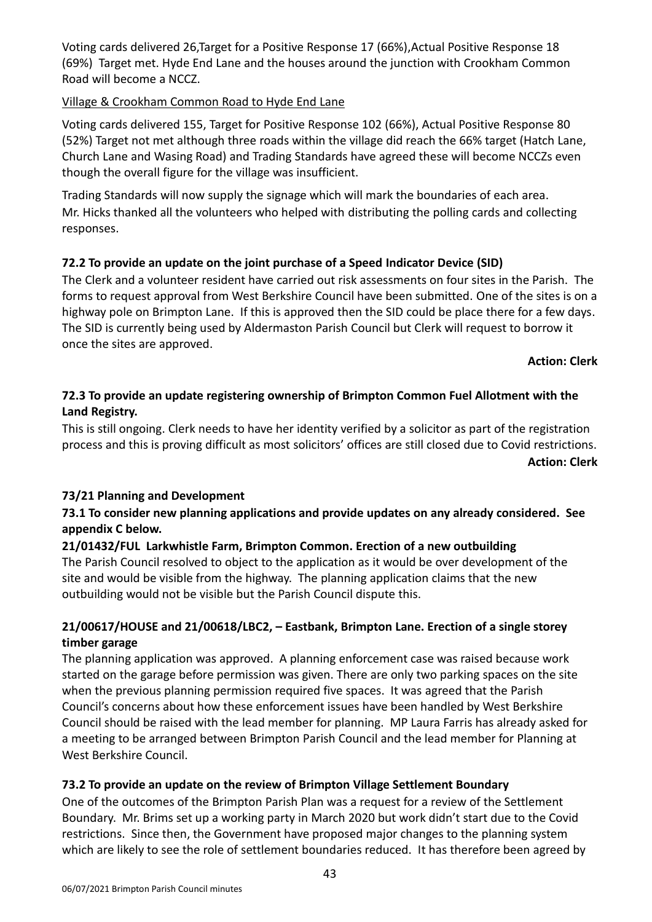Voting cards delivered 26,Target for a Positive Response 17 (66%),Actual Positive Response 18 (69%) Target met. Hyde End Lane and the houses around the junction with Crookham Common Road will become a NCCZ.

#### Village & Crookham Common Road to Hyde End Lane

Voting cards delivered 155, Target for Positive Response 102 (66%), Actual Positive Response 80 (52%) Target not met although three roads within the village did reach the 66% target (Hatch Lane, Church Lane and Wasing Road) and Trading Standards have agreed these will become NCCZs even though the overall figure for the village was insufficient.

Trading Standards will now supply the signage which will mark the boundaries of each area. Mr. Hicks thanked all the volunteers who helped with distributing the polling cards and collecting responses.

## **72.2 To provide an update on the joint purchase of a Speed Indicator Device (SID)**

The Clerk and a volunteer resident have carried out risk assessments on four sites in the Parish. The forms to request approval from West Berkshire Council have been submitted. One of the sites is on a highway pole on Brimpton Lane. If this is approved then the SID could be place there for a few days. The SID is currently being used by Aldermaston Parish Council but Clerk will request to borrow it once the sites are approved.

#### **Action: Clerk**

## **72.3 To provide an update registering ownership of Brimpton Common Fuel Allotment with the Land Registry.**

This is still ongoing. Clerk needs to have her identity verified by a solicitor as part of the registration process and this is proving difficult as most solicitors' offices are still closed due to Covid restrictions.

#### **Action: Clerk**

#### **73/21 Planning and Development**

#### **73.1 To consider new planning applications and provide updates on any already considered. See appendix C below.**

#### **21/01432/FUL Larkwhistle Farm, Brimpton Common. Erection of a new outbuilding**

The Parish Council resolved to object to the application as it would be over development of the site and would be visible from the highway. The planning application claims that the new outbuilding would not be visible but the Parish Council dispute this.

#### **21/00617/HOUSE and 21/00618/LBC2, – Eastbank, Brimpton Lane. Erection of a single storey timber garage**

The planning application was approved. A planning enforcement case was raised because work started on the garage before permission was given. There are only two parking spaces on the site when the previous planning permission required five spaces. It was agreed that the Parish Council's concerns about how these enforcement issues have been handled by West Berkshire Council should be raised with the lead member for planning. MP Laura Farris has already asked for a meeting to be arranged between Brimpton Parish Council and the lead member for Planning at West Berkshire Council.

#### **73.2 To provide an update on the review of Brimpton Village Settlement Boundary**

One of the outcomes of the Brimpton Parish Plan was a request for a review of the Settlement Boundary. Mr. Brims set up a working party in March 2020 but work didn't start due to the Covid restrictions. Since then, the Government have proposed major changes to the planning system which are likely to see the role of settlement boundaries reduced. It has therefore been agreed by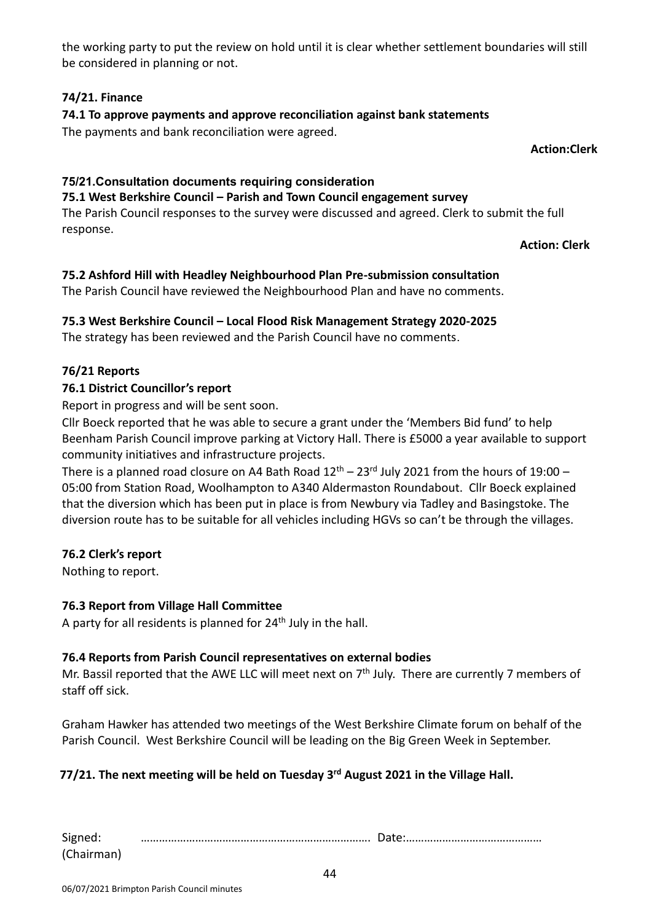the working party to put the review on hold until it is clear whether settlement boundaries will still be considered in planning or not.

## **74/21. Finance**

**74.1 To approve payments and approve reconciliation against bank statements**

The payments and bank reconciliation were agreed.

**Action:Clerk**

# **75/21.Consultation documents requiring consideration**

**75.1 West Berkshire Council – Parish and Town Council engagement survey**

The Parish Council responses to the survey were discussed and agreed. Clerk to submit the full response.

**Action: Clerk**

## **75.2 Ashford Hill with Headley Neighbourhood Plan Pre-submission consultation**

The Parish Council have reviewed the Neighbourhood Plan and have no comments.

## **75.3 West Berkshire Council – Local Flood Risk Management Strategy 2020-2025**

The strategy has been reviewed and the Parish Council have no comments.

## **76/21 Reports**

## **76.1 District Councillor's report**

Report in progress and will be sent soon.

Cllr Boeck reported that he was able to secure a grant under the 'Members Bid fund' to help Beenham Parish Council improve parking at Victory Hall. There is £5000 a year available to support community initiatives and infrastructure projects.

There is a planned road closure on A4 Bath Road  $12<sup>th</sup> - 23<sup>rd</sup>$  July 2021 from the hours of 19:00 – 05:00 from Station Road, Woolhampton to A340 Aldermaston Roundabout. Cllr Boeck explained that the diversion which has been put in place is from Newbury via Tadley and Basingstoke. The diversion route has to be suitable for all vehicles including HGVs so can't be through the villages.

#### **76.2 Clerk's report**

Nothing to report.

#### **76.3 Report from Village Hall Committee**

A party for all residents is planned for  $24<sup>th</sup>$  July in the hall.

#### **76.4 Reports from Parish Council representatives on external bodies**

Mr. Bassil reported that the AWE LLC will meet next on  $7<sup>th</sup>$  July. There are currently 7 members of staff off sick.

Graham Hawker has attended two meetings of the West Berkshire Climate forum on behalf of the Parish Council. West Berkshire Council will be leading on the Big Green Week in September.

#### **77/21. The next meeting will be held on Tuesday 3 rd August 2021 in the Village Hall.**

| Signed:    |  |
|------------|--|
| (Chairman) |  |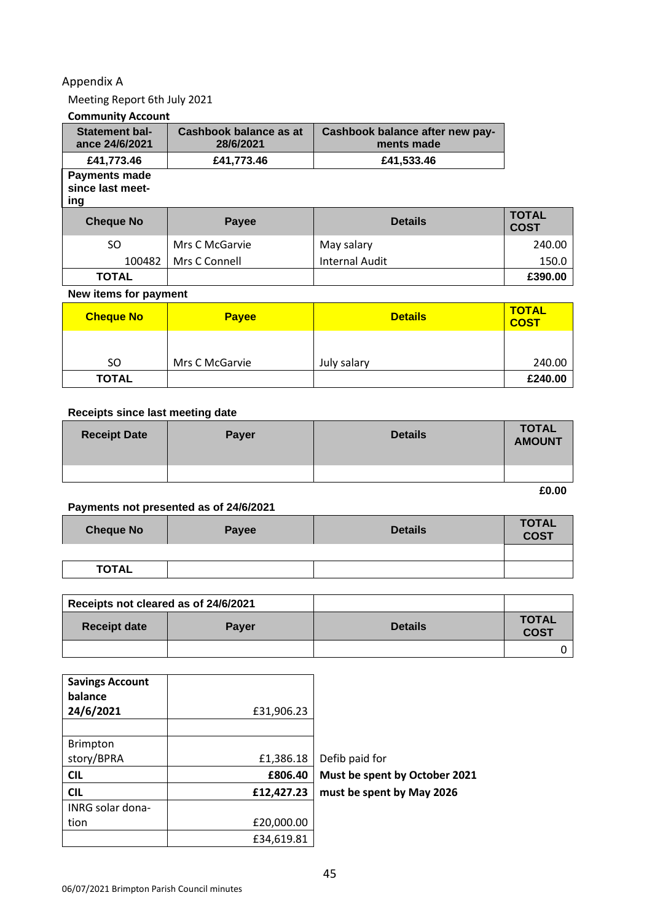#### Appendix A

Meeting Report 6th July 2021

#### **Community Account**

| <b>Statement bal-</b><br>ance 24/6/2021         | <b>Cashbook balance as at</b><br>28/6/2021 | Cashbook balance after new pay-<br>ments made |                             |
|-------------------------------------------------|--------------------------------------------|-----------------------------------------------|-----------------------------|
| £41,773.46                                      | £41,773.46                                 | £41,533.46                                    |                             |
| <b>Payments made</b><br>since last meet-<br>ing |                                            |                                               |                             |
| <b>Cheque No</b>                                | <b>Payee</b>                               | <b>Details</b>                                | <b>TOTAL</b><br><b>COST</b> |
| SO.                                             | Mrs C McGarvie                             | May salary                                    | 240.00                      |
| 100482                                          | Mrs C Connell                              | <b>Internal Audit</b>                         | 150.0                       |
| <b>TOTAL</b>                                    |                                            |                                               | £390.00                     |

#### **New items for payment**

| <b>Cheque No</b> | <b>Payee</b>   | <b>Details</b> | <b>TOTAL</b><br><b>COST</b> |
|------------------|----------------|----------------|-----------------------------|
|                  |                |                |                             |
| SO.              | Mrs C McGarvie | July salary    | 240.00                      |
| <b>TOTAL</b>     |                |                | £240.00                     |

#### **Receipts since last meeting date**

| <b>Receipt Date</b> | <b>Payer</b> | <b>Details</b> | <b>TOTAL</b><br><b>AMOUNT</b> |
|---------------------|--------------|----------------|-------------------------------|
|                     |              |                |                               |

**£0.00**

## **Payments not presented as of 24/6/2021**

| <b>Cheque No</b> | <b>Payee</b> | <b>Details</b> | <b>TOTAL</b><br><b>COST</b> |
|------------------|--------------|----------------|-----------------------------|
|                  |              |                |                             |
| <b>TOTAL</b>     |              |                |                             |

| Receipts not cleared as of 24/6/2021 |              |                |                             |
|--------------------------------------|--------------|----------------|-----------------------------|
| <b>Receipt date</b>                  | <b>Payer</b> | <b>Details</b> | <b>TOTAL</b><br><b>COST</b> |
|                                      |              |                |                             |

| <b>Savings Account</b><br>balance |            |                               |
|-----------------------------------|------------|-------------------------------|
| 24/6/2021                         | £31,906.23 |                               |
|                                   |            |                               |
| <b>Brimpton</b>                   |            |                               |
| story/BPRA                        | £1,386.18  | Defib paid for                |
|                                   |            |                               |
| <b>CIL</b>                        | £806.40    | Must be spent by October 2021 |
| <b>CIL</b>                        | £12,427.23 | must be spent by May 2026     |
| INRG solar dona-                  |            |                               |
| tion                              | £20,000.00 |                               |
|                                   | £34,619.81 |                               |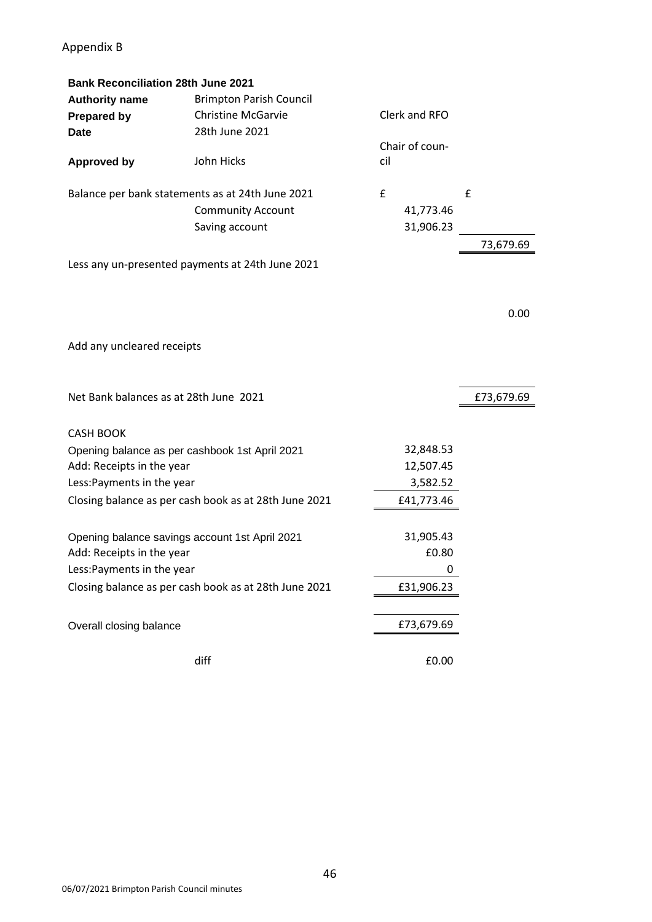## Appendix B

| <b>Bank Reconciliation 28th June 2021</b> |                                                       |     |                |            |
|-------------------------------------------|-------------------------------------------------------|-----|----------------|------------|
| <b>Authority name</b>                     | <b>Brimpton Parish Council</b>                        |     |                |            |
| <b>Prepared by</b>                        | <b>Christine McGarvie</b>                             |     | Clerk and RFO  |            |
| <b>Date</b>                               | 28th June 2021                                        |     |                |            |
|                                           |                                                       |     | Chair of coun- |            |
| <b>Approved by</b>                        | John Hicks                                            | cil |                |            |
|                                           | Balance per bank statements as at 24th June 2021      | £   |                | £          |
|                                           | <b>Community Account</b>                              |     | 41,773.46      |            |
|                                           | Saving account                                        |     | 31,906.23      |            |
|                                           |                                                       |     |                | 73,679.69  |
|                                           | Less any un-presented payments at 24th June 2021      |     |                |            |
|                                           |                                                       |     |                | 0.00       |
|                                           |                                                       |     |                |            |
| Add any uncleared receipts                |                                                       |     |                |            |
| Net Bank balances as at 28th June 2021    |                                                       |     |                | £73,679.69 |
|                                           |                                                       |     |                |            |
| <b>CASH BOOK</b>                          |                                                       |     |                |            |
|                                           | Opening balance as per cashbook 1st April 2021        |     | 32,848.53      |            |
| Add: Receipts in the year                 |                                                       |     | 12,507.45      |            |
| Less: Payments in the year                |                                                       |     | 3,582.52       |            |
|                                           | Closing balance as per cash book as at 28th June 2021 |     | £41,773.46     |            |
|                                           | Opening balance savings account 1st April 2021        |     | 31,905.43      |            |
| Add: Receipts in the year                 |                                                       |     | £0.80          |            |
| Less: Payments in the year                |                                                       |     | 0              |            |
|                                           | Closing balance as per cash book as at 28th June 2021 |     | £31,906.23     |            |
| Overall closing balance                   |                                                       |     | £73,679.69     |            |
|                                           | diff                                                  |     | £0.00          |            |